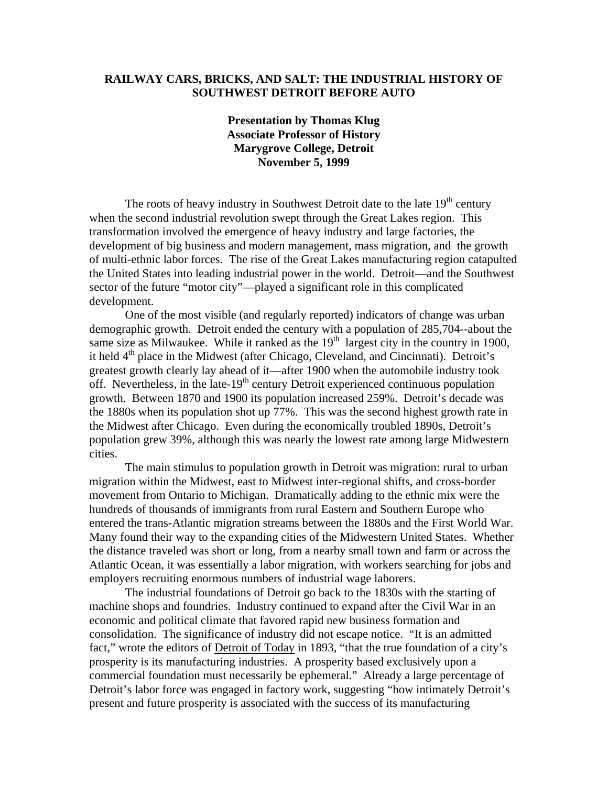## **RAILWAY CARS, BRICKS, AND SALT: THE INDUSTRIAL HISTORY OF SOUTHWEST DETROIT BEFORE AUTO**

## **Presentation by Thomas Klug Associate Professor of History Marygrove College, Detroit November 5, 1999**

The roots of heavy industry in Southwest Detroit date to the late  $19<sup>th</sup>$  century when the second industrial revolution swept through the Great Lakes region. This transformation involved the emergence of heavy industry and large factories, the development of big business and modern management, mass migration, and the growth of multi-ethnic labor forces. The rise of the Great Lakes manufacturing region catapulted the United States into leading industrial power in the world. Detroit—and the Southwest sector of the future "motor city"—played a significant role in this complicated development.

One of the most visible (and regularly reported) indicators of change was urban demographic growth. Detroit ended the century with a population of 285,704--about the same size as Milwaukee. While it ranked as the  $19<sup>th</sup>$  largest city in the country in 1900, it held 4<sup>th</sup> place in the Midwest (after Chicago, Cleveland, and Cincinnati). Detroit's greatest growth clearly lay ahead of it—after 1900 when the automobile industry took off. Nevertheless, in the late- $19<sup>th</sup>$  century Detroit experienced continuous population growth. Between 1870 and 1900 its population increased 259%. Detroit's decade was the 1880s when its population shot up 77%. This was the second highest growth rate in the Midwest after Chicago. Even during the economically troubled 1890s, Detroit's population grew 39%, although this was nearly the lowest rate among large Midwestern cities.

The main stimulus to population growth in Detroit was migration: rural to urban migration within the Midwest, east to Midwest inter-regional shifts, and cross-border movement from Ontario to Michigan. Dramatically adding to the ethnic mix were the hundreds of thousands of immigrants from rural Eastern and Southern Europe who entered the trans-Atlantic migration streams between the 1880s and the First World War. Many found their way to the expanding cities of the Midwestern United States. Whether the distance traveled was short or long, from a nearby small town and farm or across the Atlantic Ocean, it was essentially a labor migration, with workers searching for jobs and employers recruiting enormous numbers of industrial wage laborers.

The industrial foundations of Detroit go back to the 1830s with the starting of machine shops and foundries. Industry continued to expand after the Civil War in an economic and political climate that favored rapid new business formation and consolidation. The significance of industry did not escape notice. "It is an admitted fact," wrote the editors of Detroit of Today in 1893, "that the true foundation of a city's prosperity is its manufacturing industries. A prosperity based exclusively upon a commercial foundation must necessarily be ephemeral." Already a large percentage of Detroit's labor force was engaged in factory work, suggesting "how intimately Detroit's present and future prosperity is associated with the success of its manufacturing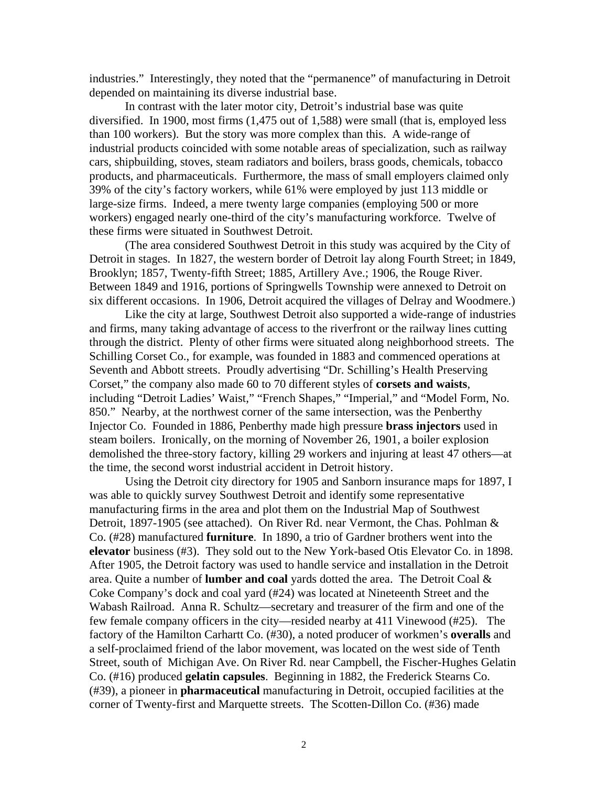industries." Interestingly, they noted that the "permanence" of manufacturing in Detroit depended on maintaining its diverse industrial base.

In contrast with the later motor city, Detroit's industrial base was quite diversified. In 1900, most firms (1,475 out of 1,588) were small (that is, employed less than 100 workers). But the story was more complex than this. A wide-range of industrial products coincided with some notable areas of specialization, such as railway cars, shipbuilding, stoves, steam radiators and boilers, brass goods, chemicals, tobacco products, and pharmaceuticals. Furthermore, the mass of small employers claimed only 39% of the city's factory workers, while 61% were employed by just 113 middle or large-size firms. Indeed, a mere twenty large companies (employing 500 or more workers) engaged nearly one-third of the city's manufacturing workforce. Twelve of these firms were situated in Southwest Detroit.

 (The area considered Southwest Detroit in this study was acquired by the City of Detroit in stages. In 1827, the western border of Detroit lay along Fourth Street; in 1849, Brooklyn; 1857, Twenty-fifth Street; 1885, Artillery Ave.; 1906, the Rouge River. Between 1849 and 1916, portions of Springwells Township were annexed to Detroit on six different occasions. In 1906, Detroit acquired the villages of Delray and Woodmere.)

Like the city at large, Southwest Detroit also supported a wide-range of industries and firms, many taking advantage of access to the riverfront or the railway lines cutting through the district. Plenty of other firms were situated along neighborhood streets. The Schilling Corset Co., for example, was founded in 1883 and commenced operations at Seventh and Abbott streets. Proudly advertising "Dr. Schilling's Health Preserving Corset," the company also made 60 to 70 different styles of **corsets and waists**, including "Detroit Ladies' Waist," "French Shapes," "Imperial," and "Model Form, No. 850." Nearby, at the northwest corner of the same intersection, was the Penberthy Injector Co. Founded in 1886, Penberthy made high pressure **brass injectors** used in steam boilers. Ironically, on the morning of November 26, 1901, a boiler explosion demolished the three-story factory, killing 29 workers and injuring at least 47 others—at the time, the second worst industrial accident in Detroit history.

Using the Detroit city directory for 1905 and Sanborn insurance maps for 1897, I was able to quickly survey Southwest Detroit and identify some representative manufacturing firms in the area and plot them on the Industrial Map of Southwest Detroit, 1897-1905 (see attached). On River Rd. near Vermont, the Chas. Pohlman & Co. (#28) manufactured **furniture**. In 1890, a trio of Gardner brothers went into the **elevator** business (#3). They sold out to the New York-based Otis Elevator Co. in 1898. After 1905, the Detroit factory was used to handle service and installation in the Detroit area. Quite a number of **lumber and coal** yards dotted the area. The Detroit Coal & Coke Company's dock and coal yard (#24) was located at Nineteenth Street and the Wabash Railroad. Anna R. Schultz—secretary and treasurer of the firm and one of the few female company officers in the city—resided nearby at 411 Vinewood (#25). The factory of the Hamilton Carhartt Co. (#30), a noted producer of workmen's **overalls** and a self-proclaimed friend of the labor movement, was located on the west side of Tenth Street, south of Michigan Ave. On River Rd. near Campbell, the Fischer-Hughes Gelatin Co. (#16) produced **gelatin capsules**. Beginning in 1882, the Frederick Stearns Co. (#39), a pioneer in **pharmaceutical** manufacturing in Detroit, occupied facilities at the corner of Twenty-first and Marquette streets. The Scotten-Dillon Co. (#36) made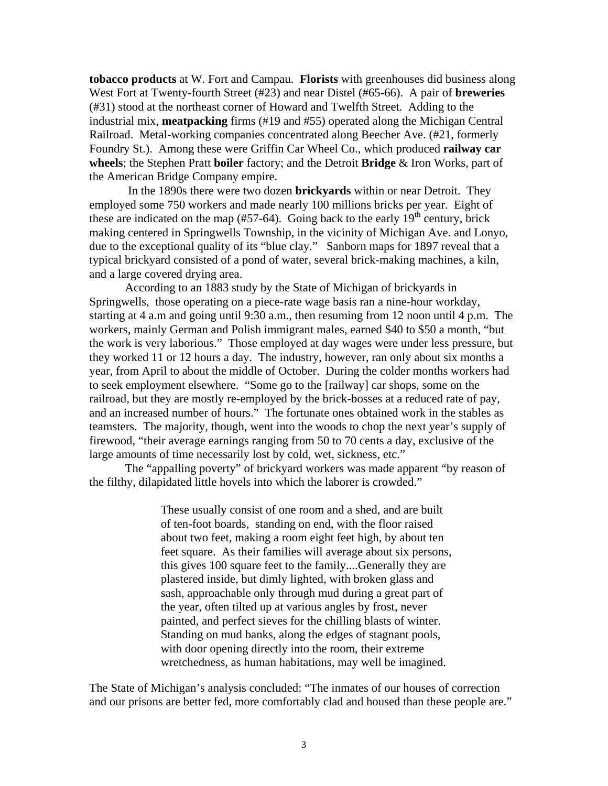**tobacco products** at W. Fort and Campau. **Florists** with greenhouses did business along West Fort at Twenty-fourth Street (#23) and near Distel (#65-66). A pair of **breweries** (#31) stood at the northeast corner of Howard and Twelfth Street. Adding to the industrial mix, **meatpacking** firms (#19 and #55) operated along the Michigan Central Railroad. Metal-working companies concentrated along Beecher Ave. (#21, formerly Foundry St.). Among these were Griffin Car Wheel Co., which produced **railway car wheels**; the Stephen Pratt **boiler** factory; and the Detroit **Bridge** & Iron Works, part of the American Bridge Company empire.

 In the 1890s there were two dozen **brickyards** within or near Detroit. They employed some 750 workers and made nearly 100 millions bricks per year. Eight of these are indicated on the map  $(\text{\#57-64})$ . Going back to the early  $19<sup>th</sup>$  century, brick making centered in Springwells Township, in the vicinity of Michigan Ave. and Lonyo, due to the exceptional quality of its "blue clay." Sanborn maps for 1897 reveal that a typical brickyard consisted of a pond of water, several brick-making machines, a kiln, and a large covered drying area.

 According to an 1883 study by the State of Michigan of brickyards in Springwells, those operating on a piece-rate wage basis ran a nine-hour workday, starting at 4 a.m and going until 9:30 a.m., then resuming from 12 noon until 4 p.m. The workers, mainly German and Polish immigrant males, earned \$40 to \$50 a month, "but the work is very laborious." Those employed at day wages were under less pressure, but they worked 11 or 12 hours a day. The industry, however, ran only about six months a year, from April to about the middle of October. During the colder months workers had to seek employment elsewhere. "Some go to the [railway] car shops, some on the railroad, but they are mostly re-employed by the brick-bosses at a reduced rate of pay, and an increased number of hours." The fortunate ones obtained work in the stables as teamsters. The majority, though, went into the woods to chop the next year's supply of firewood, "their average earnings ranging from 50 to 70 cents a day, exclusive of the large amounts of time necessarily lost by cold, wet, sickness, etc."

The "appalling poverty" of brickyard workers was made apparent "by reason of the filthy, dilapidated little hovels into which the laborer is crowded."

> These usually consist of one room and a shed, and are built of ten-foot boards, standing on end, with the floor raised about two feet, making a room eight feet high, by about ten feet square. As their families will average about six persons, this gives 100 square feet to the family....Generally they are plastered inside, but dimly lighted, with broken glass and sash, approachable only through mud during a great part of the year, often tilted up at various angles by frost, never painted, and perfect sieves for the chilling blasts of winter. Standing on mud banks, along the edges of stagnant pools, with door opening directly into the room, their extreme wretchedness, as human habitations, may well be imagined.

The State of Michigan's analysis concluded: "The inmates of our houses of correction and our prisons are better fed, more comfortably clad and housed than these people are."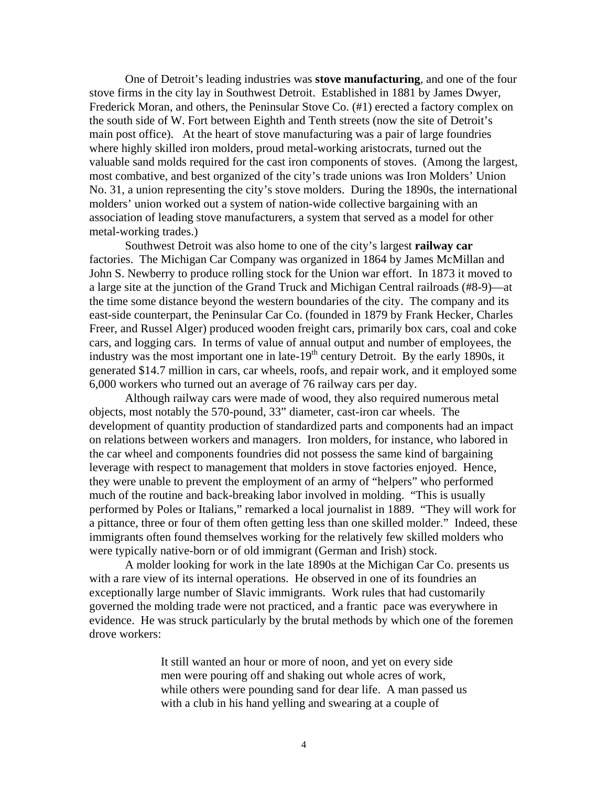One of Detroit's leading industries was **stove manufacturing**, and one of the four stove firms in the city lay in Southwest Detroit. Established in 1881 by James Dwyer, Frederick Moran, and others, the Peninsular Stove Co. (#1) erected a factory complex on the south side of W. Fort between Eighth and Tenth streets (now the site of Detroit's main post office). At the heart of stove manufacturing was a pair of large foundries where highly skilled iron molders, proud metal-working aristocrats, turned out the valuable sand molds required for the cast iron components of stoves. (Among the largest, most combative, and best organized of the city's trade unions was Iron Molders' Union No. 31, a union representing the city's stove molders. During the 1890s, the international molders' union worked out a system of nation-wide collective bargaining with an association of leading stove manufacturers, a system that served as a model for other metal-working trades.)

 Southwest Detroit was also home to one of the city's largest **railway car** factories. The Michigan Car Company was organized in 1864 by James McMillan and John S. Newberry to produce rolling stock for the Union war effort. In 1873 it moved to a large site at the junction of the Grand Truck and Michigan Central railroads (#8-9)—at the time some distance beyond the western boundaries of the city. The company and its east-side counterpart, the Peninsular Car Co. (founded in 1879 by Frank Hecker, Charles Freer, and Russel Alger) produced wooden freight cars, primarily box cars, coal and coke cars, and logging cars. In terms of value of annual output and number of employees, the industry was the most important one in late- $19<sup>th</sup>$  century Detroit. By the early 1890s, it generated \$14.7 million in cars, car wheels, roofs, and repair work, and it employed some 6,000 workers who turned out an average of 76 railway cars per day.

Although railway cars were made of wood, they also required numerous metal objects, most notably the 570-pound, 33" diameter, cast-iron car wheels. The development of quantity production of standardized parts and components had an impact on relations between workers and managers. Iron molders, for instance, who labored in the car wheel and components foundries did not possess the same kind of bargaining leverage with respect to management that molders in stove factories enjoyed. Hence, they were unable to prevent the employment of an army of "helpers" who performed much of the routine and back-breaking labor involved in molding. "This is usually performed by Poles or Italians," remarked a local journalist in 1889. "They will work for a pittance, three or four of them often getting less than one skilled molder." Indeed, these immigrants often found themselves working for the relatively few skilled molders who were typically native-born or of old immigrant (German and Irish) stock.

A molder looking for work in the late 1890s at the Michigan Car Co. presents us with a rare view of its internal operations. He observed in one of its foundries an exceptionally large number of Slavic immigrants. Work rules that had customarily governed the molding trade were not practiced, and a frantic pace was everywhere in evidence. He was struck particularly by the brutal methods by which one of the foremen drove workers:

> It still wanted an hour or more of noon, and yet on every side men were pouring off and shaking out whole acres of work, while others were pounding sand for dear life. A man passed us with a club in his hand yelling and swearing at a couple of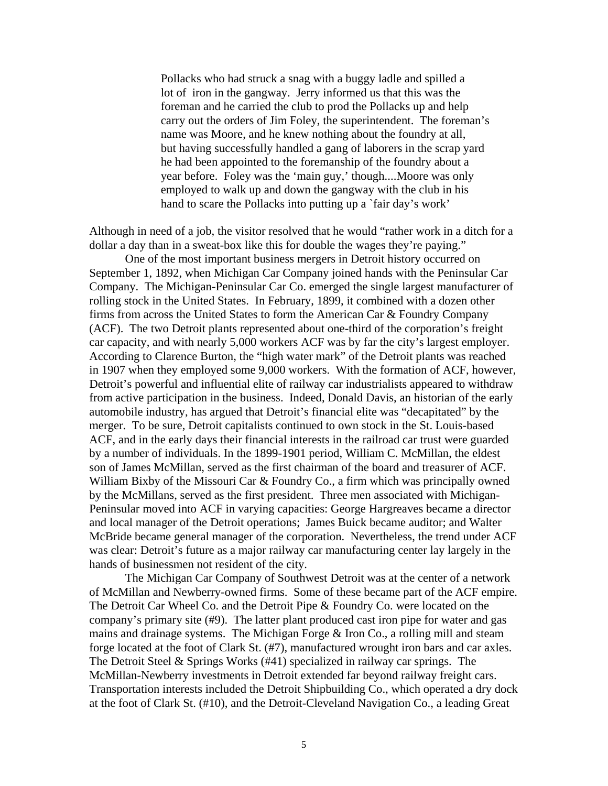Pollacks who had struck a snag with a buggy ladle and spilled a lot of iron in the gangway. Jerry informed us that this was the foreman and he carried the club to prod the Pollacks up and help carry out the orders of Jim Foley, the superintendent. The foreman's name was Moore, and he knew nothing about the foundry at all, but having successfully handled a gang of laborers in the scrap yard he had been appointed to the foremanship of the foundry about a year before. Foley was the 'main guy,' though....Moore was only employed to walk up and down the gangway with the club in his hand to scare the Pollacks into putting up a 'fair day's work'

Although in need of a job, the visitor resolved that he would "rather work in a ditch for a dollar a day than in a sweat-box like this for double the wages they're paying."

 One of the most important business mergers in Detroit history occurred on September 1, 1892, when Michigan Car Company joined hands with the Peninsular Car Company. The Michigan-Peninsular Car Co. emerged the single largest manufacturer of rolling stock in the United States. In February, 1899, it combined with a dozen other firms from across the United States to form the American Car & Foundry Company (ACF). The two Detroit plants represented about one-third of the corporation's freight car capacity, and with nearly 5,000 workers ACF was by far the city's largest employer. According to Clarence Burton, the "high water mark" of the Detroit plants was reached in 1907 when they employed some 9,000 workers. With the formation of ACF, however, Detroit's powerful and influential elite of railway car industrialists appeared to withdraw from active participation in the business. Indeed, Donald Davis, an historian of the early automobile industry, has argued that Detroit's financial elite was "decapitated" by the merger. To be sure, Detroit capitalists continued to own stock in the St. Louis-based ACF, and in the early days their financial interests in the railroad car trust were guarded by a number of individuals. In the 1899-1901 period, William C. McMillan, the eldest son of James McMillan, served as the first chairman of the board and treasurer of ACF. William Bixby of the Missouri Car & Foundry Co., a firm which was principally owned by the McMillans, served as the first president. Three men associated with Michigan-Peninsular moved into ACF in varying capacities: George Hargreaves became a director and local manager of the Detroit operations; James Buick became auditor; and Walter McBride became general manager of the corporation. Nevertheless, the trend under ACF was clear: Detroit's future as a major railway car manufacturing center lay largely in the hands of businessmen not resident of the city.

 The Michigan Car Company of Southwest Detroit was at the center of a network of McMillan and Newberry-owned firms. Some of these became part of the ACF empire. The Detroit Car Wheel Co. and the Detroit Pipe & Foundry Co. were located on the company's primary site (#9). The latter plant produced cast iron pipe for water and gas mains and drainage systems. The Michigan Forge & Iron Co., a rolling mill and steam forge located at the foot of Clark St. (#7), manufactured wrought iron bars and car axles. The Detroit Steel & Springs Works (#41) specialized in railway car springs. The McMillan-Newberry investments in Detroit extended far beyond railway freight cars. Transportation interests included the Detroit Shipbuilding Co., which operated a dry dock at the foot of Clark St. (#10), and the Detroit-Cleveland Navigation Co., a leading Great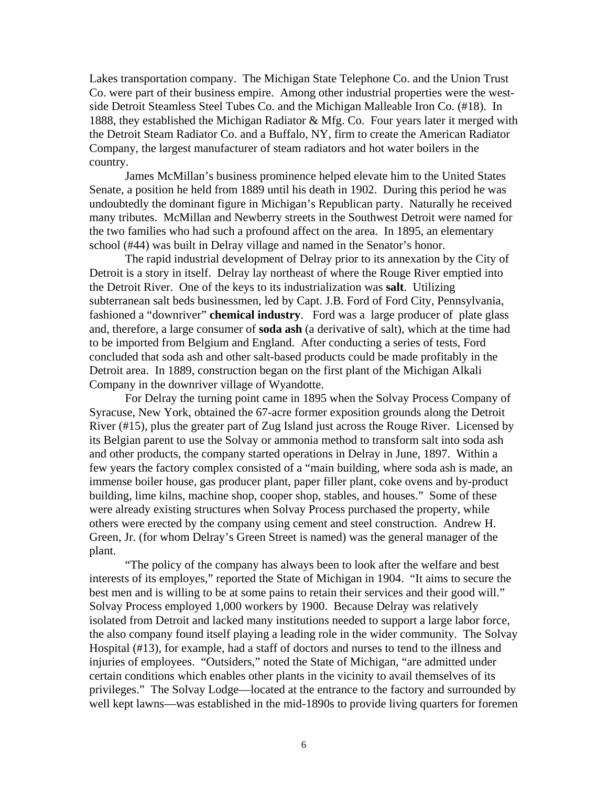Lakes transportation company. The Michigan State Telephone Co. and the Union Trust Co. were part of their business empire. Among other industrial properties were the westside Detroit Steamless Steel Tubes Co. and the Michigan Malleable Iron Co. (#18). In 1888, they established the Michigan Radiator & Mfg. Co. Four years later it merged with the Detroit Steam Radiator Co. and a Buffalo, NY, firm to create the American Radiator Company, the largest manufacturer of steam radiators and hot water boilers in the country.

James McMillan's business prominence helped elevate him to the United States Senate, a position he held from 1889 until his death in 1902. During this period he was undoubtedly the dominant figure in Michigan's Republican party. Naturally he received many tributes. McMillan and Newberry streets in the Southwest Detroit were named for the two families who had such a profound affect on the area. In 1895, an elementary school (#44) was built in Delray village and named in the Senator's honor.

The rapid industrial development of Delray prior to its annexation by the City of Detroit is a story in itself. Delray lay northeast of where the Rouge River emptied into the Detroit River. One of the keys to its industrialization was **salt**. Utilizing subterranean salt beds businessmen, led by Capt. J.B. Ford of Ford City, Pennsylvania, fashioned a "downriver" **chemical industry**. Ford was a large producer of plate glass and, therefore, a large consumer of **soda ash** (a derivative of salt), which at the time had to be imported from Belgium and England. After conducting a series of tests, Ford concluded that soda ash and other salt-based products could be made profitably in the Detroit area. In 1889, construction began on the first plant of the Michigan Alkali Company in the downriver village of Wyandotte.

For Delray the turning point came in 1895 when the Solvay Process Company of Syracuse, New York, obtained the 67-acre former exposition grounds along the Detroit River (#15), plus the greater part of Zug Island just across the Rouge River. Licensed by its Belgian parent to use the Solvay or ammonia method to transform salt into soda ash and other products, the company started operations in Delray in June, 1897. Within a few years the factory complex consisted of a "main building, where soda ash is made, an immense boiler house, gas producer plant, paper filler plant, coke ovens and by-product building, lime kilns, machine shop, cooper shop, stables, and houses." Some of these were already existing structures when Solvay Process purchased the property, while others were erected by the company using cement and steel construction. Andrew H. Green, Jr. (for whom Delray's Green Street is named) was the general manager of the plant.

"The policy of the company has always been to look after the welfare and best interests of its employes," reported the State of Michigan in 1904. "It aims to secure the best men and is willing to be at some pains to retain their services and their good will." Solvay Process employed 1,000 workers by 1900. Because Delray was relatively isolated from Detroit and lacked many institutions needed to support a large labor force, the also company found itself playing a leading role in the wider community. The Solvay Hospital (#13), for example, had a staff of doctors and nurses to tend to the illness and injuries of employees. "Outsiders," noted the State of Michigan, "are admitted under certain conditions which enables other plants in the vicinity to avail themselves of its privileges." The Solvay Lodge—located at the entrance to the factory and surrounded by well kept lawns—was established in the mid-1890s to provide living quarters for foremen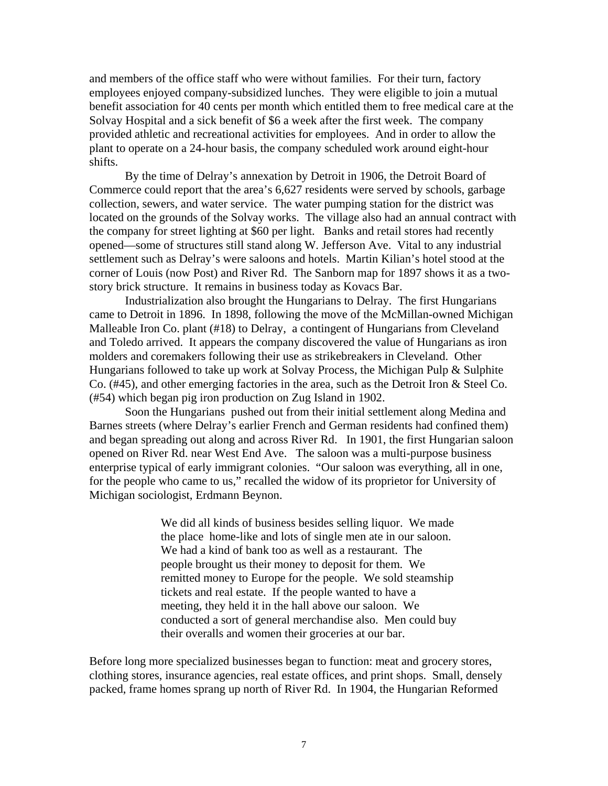and members of the office staff who were without families. For their turn, factory employees enjoyed company-subsidized lunches. They were eligible to join a mutual benefit association for 40 cents per month which entitled them to free medical care at the Solvay Hospital and a sick benefit of \$6 a week after the first week. The company provided athletic and recreational activities for employees. And in order to allow the plant to operate on a 24-hour basis, the company scheduled work around eight-hour shifts.

By the time of Delray's annexation by Detroit in 1906, the Detroit Board of Commerce could report that the area's 6,627 residents were served by schools, garbage collection, sewers, and water service. The water pumping station for the district was located on the grounds of the Solvay works. The village also had an annual contract with the company for street lighting at \$60 per light. Banks and retail stores had recently opened—some of structures still stand along W. Jefferson Ave. Vital to any industrial settlement such as Delray's were saloons and hotels. Martin Kilian's hotel stood at the corner of Louis (now Post) and River Rd. The Sanborn map for 1897 shows it as a twostory brick structure. It remains in business today as Kovacs Bar.

Industrialization also brought the Hungarians to Delray. The first Hungarians came to Detroit in 1896. In 1898, following the move of the McMillan-owned Michigan Malleable Iron Co. plant (#18) to Delray, a contingent of Hungarians from Cleveland and Toledo arrived. It appears the company discovered the value of Hungarians as iron molders and coremakers following their use as strikebreakers in Cleveland. Other Hungarians followed to take up work at Solvay Process, the Michigan Pulp & Sulphite Co. (#45), and other emerging factories in the area, such as the Detroit Iron & Steel Co. (#54) which began pig iron production on Zug Island in 1902.

Soon the Hungarians pushed out from their initial settlement along Medina and Barnes streets (where Delray's earlier French and German residents had confined them) and began spreading out along and across River Rd. In 1901, the first Hungarian saloon opened on River Rd. near West End Ave. The saloon was a multi-purpose business enterprise typical of early immigrant colonies. "Our saloon was everything, all in one, for the people who came to us," recalled the widow of its proprietor for University of Michigan sociologist, Erdmann Beynon.

> We did all kinds of business besides selling liquor. We made the place home-like and lots of single men ate in our saloon. We had a kind of bank too as well as a restaurant. The people brought us their money to deposit for them. We remitted money to Europe for the people. We sold steamship tickets and real estate. If the people wanted to have a meeting, they held it in the hall above our saloon. We conducted a sort of general merchandise also. Men could buy their overalls and women their groceries at our bar.

Before long more specialized businesses began to function: meat and grocery stores, clothing stores, insurance agencies, real estate offices, and print shops. Small, densely packed, frame homes sprang up north of River Rd. In 1904, the Hungarian Reformed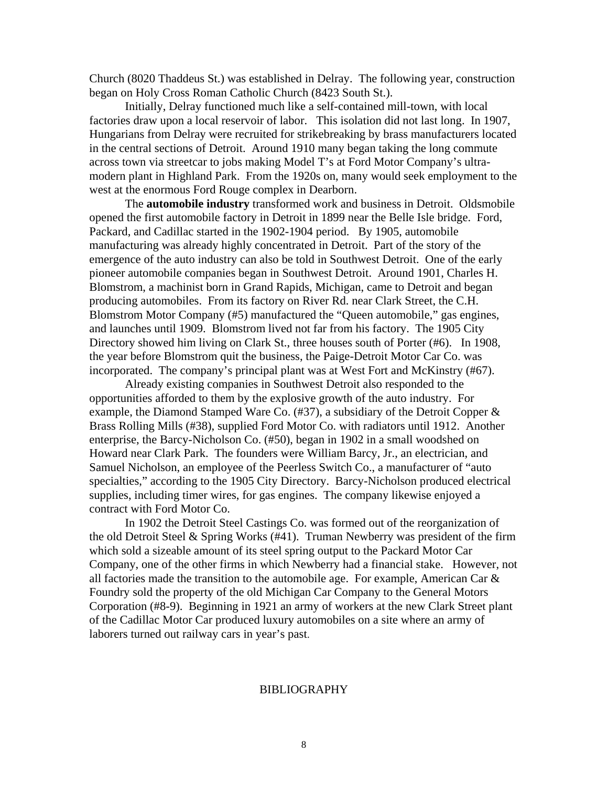Church (8020 Thaddeus St.) was established in Delray. The following year, construction began on Holy Cross Roman Catholic Church (8423 South St.).

 Initially, Delray functioned much like a self-contained mill-town, with local factories draw upon a local reservoir of labor. This isolation did not last long. In 1907, Hungarians from Delray were recruited for strikebreaking by brass manufacturers located in the central sections of Detroit. Around 1910 many began taking the long commute across town via streetcar to jobs making Model T's at Ford Motor Company's ultramodern plant in Highland Park. From the 1920s on, many would seek employment to the west at the enormous Ford Rouge complex in Dearborn.

 The **automobile industry** transformed work and business in Detroit. Oldsmobile opened the first automobile factory in Detroit in 1899 near the Belle Isle bridge. Ford, Packard, and Cadillac started in the 1902-1904 period. By 1905, automobile manufacturing was already highly concentrated in Detroit. Part of the story of the emergence of the auto industry can also be told in Southwest Detroit. One of the early pioneer automobile companies began in Southwest Detroit. Around 1901, Charles H. Blomstrom, a machinist born in Grand Rapids, Michigan, came to Detroit and began producing automobiles. From its factory on River Rd. near Clark Street, the C.H. Blomstrom Motor Company (#5) manufactured the "Queen automobile," gas engines, and launches until 1909. Blomstrom lived not far from his factory. The 1905 City Directory showed him living on Clark St., three houses south of Porter (#6). In 1908, the year before Blomstrom quit the business, the Paige-Detroit Motor Car Co. was incorporated. The company's principal plant was at West Fort and McKinstry (#67).

 Already existing companies in Southwest Detroit also responded to the opportunities afforded to them by the explosive growth of the auto industry. For example, the Diamond Stamped Ware Co.  $(#37)$ , a subsidiary of the Detroit Copper  $\&$ Brass Rolling Mills (#38), supplied Ford Motor Co. with radiators until 1912. Another enterprise, the Barcy-Nicholson Co. (#50), began in 1902 in a small woodshed on Howard near Clark Park. The founders were William Barcy, Jr., an electrician, and Samuel Nicholson, an employee of the Peerless Switch Co., a manufacturer of "auto specialties," according to the 1905 City Directory. Barcy-Nicholson produced electrical supplies, including timer wires, for gas engines. The company likewise enjoyed a contract with Ford Motor Co.

In 1902 the Detroit Steel Castings Co. was formed out of the reorganization of the old Detroit Steel & Spring Works (#41). Truman Newberry was president of the firm which sold a sizeable amount of its steel spring output to the Packard Motor Car Company, one of the other firms in which Newberry had a financial stake. However, not all factories made the transition to the automobile age. For example, American Car & Foundry sold the property of the old Michigan Car Company to the General Motors Corporation (#8-9). Beginning in 1921 an army of workers at the new Clark Street plant of the Cadillac Motor Car produced luxury automobiles on a site where an army of laborers turned out railway cars in year's past.

## BIBLIOGRAPHY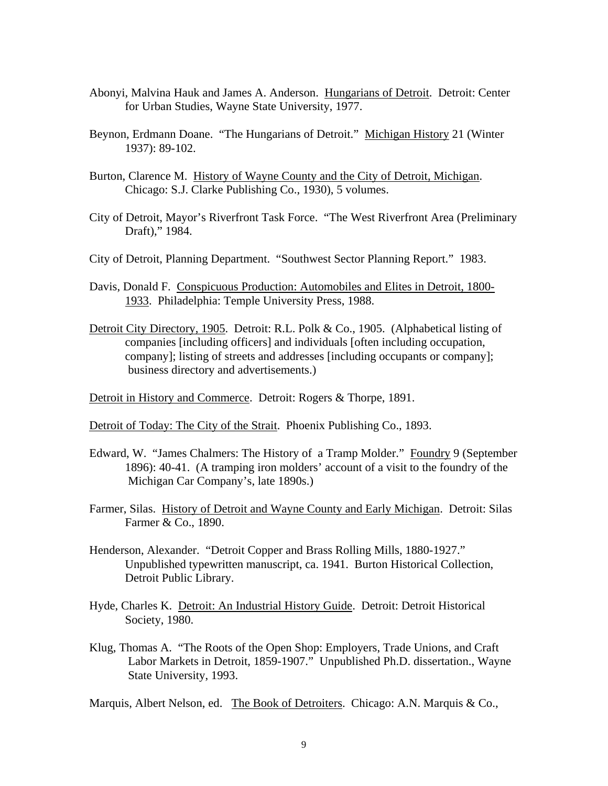- Abonyi, Malvina Hauk and James A. Anderson. Hungarians of Detroit. Detroit: Center for Urban Studies, Wayne State University, 1977.
- Beynon, Erdmann Doane. "The Hungarians of Detroit." Michigan History 21 (Winter 1937): 89-102.
- Burton, Clarence M. History of Wayne County and the City of Detroit, Michigan. Chicago: S.J. Clarke Publishing Co., 1930), 5 volumes.
- City of Detroit, Mayor's Riverfront Task Force. "The West Riverfront Area (Preliminary Draft)," 1984.
- City of Detroit, Planning Department. "Southwest Sector Planning Report." 1983.
- Davis, Donald F. Conspicuous Production: Automobiles and Elites in Detroit, 1800- 1933. Philadelphia: Temple University Press, 1988.
- Detroit City Directory, 1905. Detroit: R.L. Polk & Co., 1905. (Alphabetical listing of companies [including officers] and individuals [often including occupation, company]; listing of streets and addresses [including occupants or company]; business directory and advertisements.)

Detroit in History and Commerce. Detroit: Rogers & Thorpe, 1891.

Detroit of Today: The City of the Strait. Phoenix Publishing Co., 1893.

- Edward, W. "James Chalmers: The History of a Tramp Molder." Foundry 9 (September 1896): 40-41. (A tramping iron molders' account of a visit to the foundry of the Michigan Car Company's, late 1890s.)
- Farmer, Silas. History of Detroit and Wayne County and Early Michigan. Detroit: Silas Farmer & Co., 1890.
- Henderson, Alexander. "Detroit Copper and Brass Rolling Mills, 1880-1927." Unpublished typewritten manuscript, ca. 1941. Burton Historical Collection, Detroit Public Library.
- Hyde, Charles K. Detroit: An Industrial History Guide. Detroit: Detroit Historical Society, 1980.
- Klug, Thomas A. "The Roots of the Open Shop: Employers, Trade Unions, and Craft Labor Markets in Detroit, 1859-1907." Unpublished Ph.D. dissertation., Wayne State University, 1993.

Marquis, Albert Nelson, ed. The Book of Detroiters. Chicago: A.N. Marquis & Co.,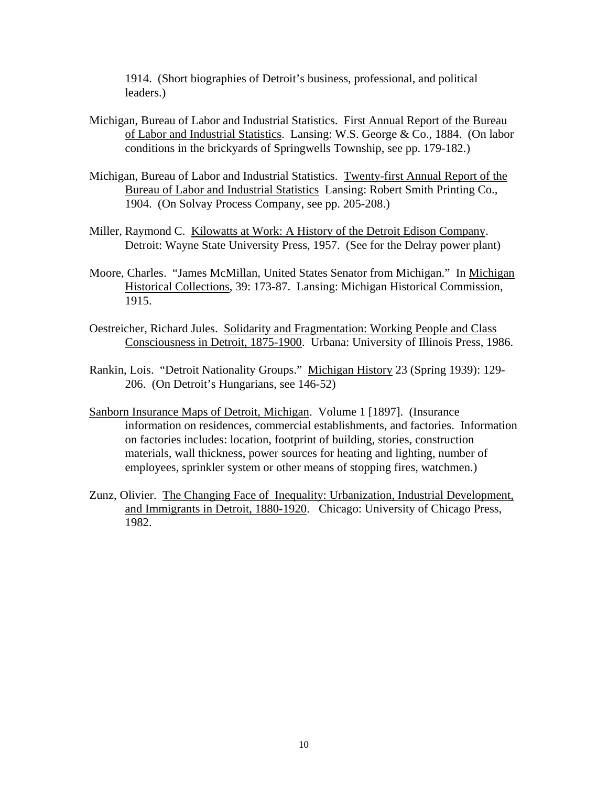1914. (Short biographies of Detroit's business, professional, and political leaders.)

- Michigan, Bureau of Labor and Industrial Statistics. First Annual Report of the Bureau of Labor and Industrial Statistics. Lansing: W.S. George & Co., 1884. (On labor conditions in the brickyards of Springwells Township, see pp. 179-182.)
- Michigan, Bureau of Labor and Industrial Statistics. Twenty-first Annual Report of the Bureau of Labor and Industrial Statistics Lansing: Robert Smith Printing Co., 1904. (On Solvay Process Company, see pp. 205-208.)
- Miller, Raymond C. Kilowatts at Work: A History of the Detroit Edison Company. Detroit: Wayne State University Press, 1957. (See for the Delray power plant)
- Moore, Charles. "James McMillan, United States Senator from Michigan." In Michigan Historical Collections, 39: 173-87. Lansing: Michigan Historical Commission, 1915.
- Oestreicher, Richard Jules. Solidarity and Fragmentation: Working People and Class Consciousness in Detroit, 1875-1900. Urbana: University of Illinois Press, 1986.
- Rankin, Lois. "Detroit Nationality Groups." Michigan History 23 (Spring 1939): 129- 206. (On Detroit's Hungarians, see 146-52)
- Sanborn Insurance Maps of Detroit, Michigan. Volume 1 [1897]. (Insurance information on residences, commercial establishments, and factories. Information on factories includes: location, footprint of building, stories, construction materials, wall thickness, power sources for heating and lighting, number of employees, sprinkler system or other means of stopping fires, watchmen.)
- Zunz, Olivier. The Changing Face of Inequality: Urbanization, Industrial Development, and Immigrants in Detroit, 1880-1920. Chicago: University of Chicago Press, 1982.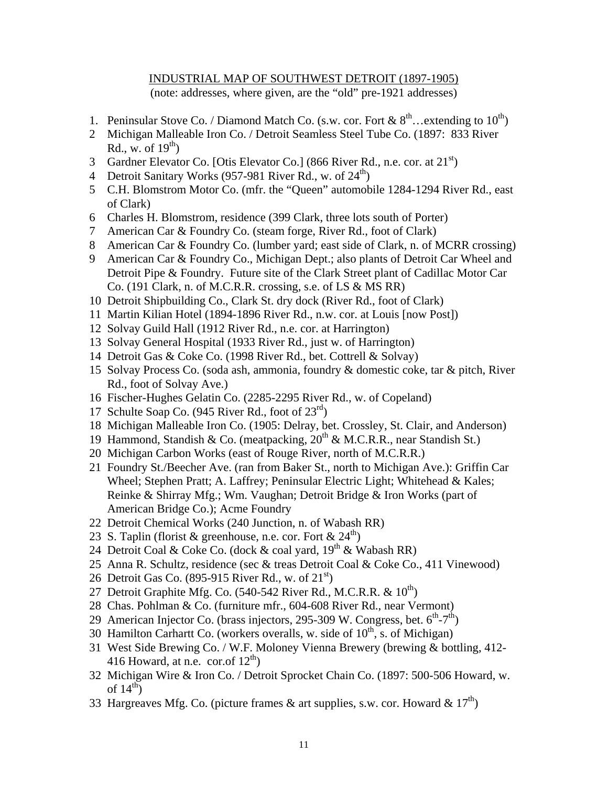## INDUSTRIAL MAP OF SOUTHWEST DETROIT (1897-1905) (note: addresses, where given, are the "old" pre-1921 addresses)

- 1. Peninsular Stove Co. / Diamond Match Co. (s.w. cor. Fort &  $8^{th}$ ... extending to  $10^{th}$ )
- 2 Michigan Malleable Iron Co. / Detroit Seamless Steel Tube Co. (1897: 833 River Rd., w. of  $19<sup>th</sup>$ )
- 3 Gardner Elevator Co. [Otis Elevator Co.] (866 River Rd., n.e. cor. at  $21^{st}$ )
- 4 Detroit Sanitary Works (957-981 River Rd., w. of  $24^{\text{th}}$ )
- 5 C.H. Blomstrom Motor Co. (mfr. the "Queen" automobile 1284-1294 River Rd., east of Clark)
- 6 Charles H. Blomstrom, residence (399 Clark, three lots south of Porter)
- 7 American Car & Foundry Co. (steam forge, River Rd., foot of Clark)
- 8 American Car & Foundry Co. (lumber yard; east side of Clark, n. of MCRR crossing)
- 9 American Car & Foundry Co., Michigan Dept.; also plants of Detroit Car Wheel and Detroit Pipe & Foundry. Future site of the Clark Street plant of Cadillac Motor Car Co. (191 Clark, n. of M.C.R.R. crossing, s.e. of LS & MS RR)
- 10 Detroit Shipbuilding Co., Clark St. dry dock (River Rd., foot of Clark)
- 11 Martin Kilian Hotel (1894-1896 River Rd., n.w. cor. at Louis [now Post])
- 12 Solvay Guild Hall (1912 River Rd., n.e. cor. at Harrington)
- 13 Solvay General Hospital (1933 River Rd., just w. of Harrington)
- 14 Detroit Gas & Coke Co. (1998 River Rd., bet. Cottrell & Solvay)
- 15 Solvay Process Co. (soda ash, ammonia, foundry & domestic coke, tar & pitch, River Rd., foot of Solvay Ave.)
- 16 Fischer-Hughes Gelatin Co. (2285-2295 River Rd., w. of Copeland)
- 17 Schulte Soap Co. (945 River Rd., foot of  $23<sup>rd</sup>$ )
- 18 Michigan Malleable Iron Co. (1905: Delray, bet. Crossley, St. Clair, and Anderson)
- 19 Hammond, Standish & Co. (meatpacking,  $20^{th}$  & M.C.R.R., near Standish St.)
- 20 Michigan Carbon Works (east of Rouge River, north of M.C.R.R.)
- 21 Foundry St./Beecher Ave. (ran from Baker St., north to Michigan Ave.): Griffin Car Wheel; Stephen Pratt; A. Laffrey; Peninsular Electric Light; Whitehead & Kales; Reinke & Shirray Mfg.; Wm. Vaughan; Detroit Bridge & Iron Works (part of American Bridge Co.); Acme Foundry
- 22 Detroit Chemical Works (240 Junction, n. of Wabash RR)
- 23 S. Taplin (florist & greenhouse, n.e. cor. Fort &  $24<sup>th</sup>$ )
- 24 Detroit Coal & Coke Co. (dock & coal yard,  $19^{th}$  & Wabash RR)
- 25 Anna R. Schultz, residence (sec & treas Detroit Coal & Coke Co., 411 Vinewood)
- 26 Detroit Gas Co. (895-915 River Rd., w. of  $21<sup>st</sup>$ )
- 27 Detroit Graphite Mfg. Co.  $(540-542$  River Rd., M.C.R.R. &  $10^{th}$ )
- 28 Chas. Pohlman & Co. (furniture mfr., 604-608 River Rd., near Vermont)
- 29 American Injector Co. (brass injectors, 295-309 W. Congress, bet.  $6^{th}$ - $7^{th}$ )
- 30 Hamilton Carhartt Co. (workers overalls, w. side of  $10<sup>th</sup>$ , s. of Michigan)
- 31 West Side Brewing Co. / W.F. Moloney Vienna Brewery (brewing & bottling, 412- 416 Howard, at n.e. cor.of  $12^{th}$ )
- 32 Michigan Wire & Iron Co. / Detroit Sprocket Chain Co. (1897: 500-506 Howard, w. of  $14^{th}$ )
- 33 Hargreaves Mfg. Co. (picture frames & art supplies, s.w. cor. Howard &  $17<sup>th</sup>$ )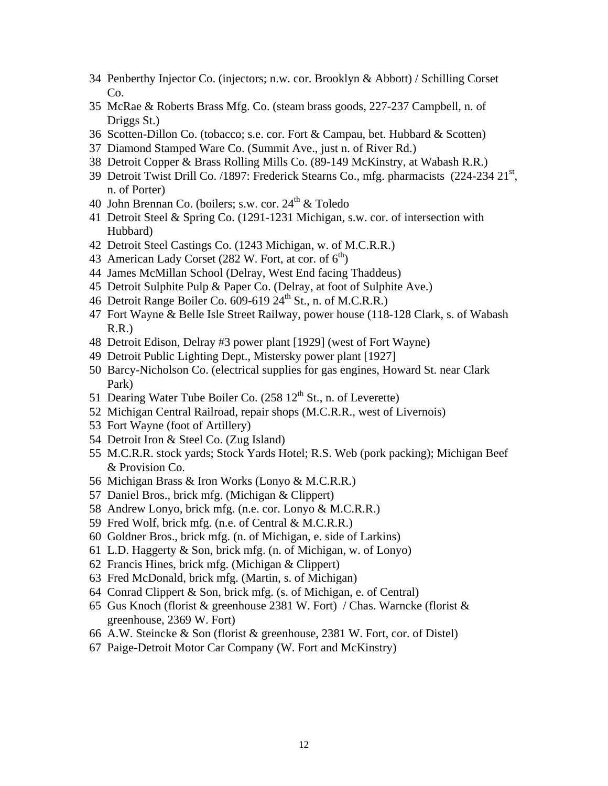- Penberthy Injector Co. (injectors; n.w. cor. Brooklyn & Abbott) / Schilling Corset Co.
- McRae & Roberts Brass Mfg. Co. (steam brass goods, 227-237 Campbell, n. of Driggs St.)
- Scotten-Dillon Co. (tobacco; s.e. cor. Fort & Campau, bet. Hubbard & Scotten)
- Diamond Stamped Ware Co. (Summit Ave., just n. of River Rd.)
- Detroit Copper & Brass Rolling Mills Co. (89-149 McKinstry, at Wabash R.R.)
- 39 Detroit Twist Drill Co. /1897: Frederick Stearns Co., mfg. pharmacists (224-234 21<sup>st</sup>, n. of Porter)
- 40 John Brennan Co. (boilers: s.w. cor.  $24<sup>th</sup>$  & Toledo
- Detroit Steel & Spring Co. (1291-1231 Michigan, s.w. cor. of intersection with Hubbard)
- Detroit Steel Castings Co. (1243 Michigan, w. of M.C.R.R.)
- 43 American Lady Corset (282 W. Fort, at cor. of  $6<sup>th</sup>$ )
- James McMillan School (Delray, West End facing Thaddeus)
- Detroit Sulphite Pulp & Paper Co. (Delray, at foot of Sulphite Ave.)
- 46 Detroit Range Boiler Co. 609-619  $24<sup>th</sup>$  St., n. of M.C.R.R.)
- Fort Wayne & Belle Isle Street Railway, power house (118-128 Clark, s. of Wabash R.R.)
- Detroit Edison, Delray #3 power plant [1929] (west of Fort Wayne)
- Detroit Public Lighting Dept., Mistersky power plant [1927]
- Barcy-Nicholson Co. (electrical supplies for gas engines, Howard St. near Clark Park)
- 51 Dearing Water Tube Boiler Co.  $(258 \ 12^{th} \text{ St.}, \text{n. of Leverette})$
- Michigan Central Railroad, repair shops (M.C.R.R., west of Livernois)
- Fort Wayne (foot of Artillery)
- Detroit Iron & Steel Co. (Zug Island)
- M.C.R.R. stock yards; Stock Yards Hotel; R.S. Web (pork packing); Michigan Beef & Provision Co.
- Michigan Brass & Iron Works (Lonyo & M.C.R.R.)
- Daniel Bros., brick mfg. (Michigan & Clippert)
- Andrew Lonyo, brick mfg. (n.e. cor. Lonyo & M.C.R.R.)
- Fred Wolf, brick mfg. (n.e. of Central & M.C.R.R.)
- Goldner Bros., brick mfg. (n. of Michigan, e. side of Larkins)
- L.D. Haggerty & Son, brick mfg. (n. of Michigan, w. of Lonyo)
- Francis Hines, brick mfg. (Michigan & Clippert)
- Fred McDonald, brick mfg. (Martin, s. of Michigan)
- Conrad Clippert & Son, brick mfg. (s. of Michigan, e. of Central)
- Gus Knoch (florist & greenhouse 2381 W. Fort) / Chas. Warncke (florist & greenhouse, 2369 W. Fort)
- A.W. Steincke & Son (florist & greenhouse, 2381 W. Fort, cor. of Distel)
- Paige-Detroit Motor Car Company (W. Fort and McKinstry)